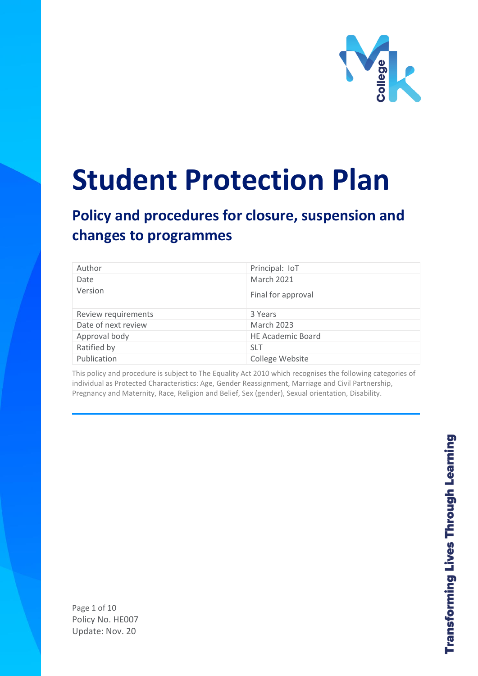

# **Student Protection Plan**

# **Policy and procedures for closure, suspension and changes to programmes**

| Author              | Principal: IoT           |
|---------------------|--------------------------|
| Date                | <b>March 2021</b>        |
| Version             | Final for approval       |
| Review requirements | 3 Years                  |
| Date of next review | <b>March 2023</b>        |
| Approval body       | <b>HE Academic Board</b> |
| Ratified by         | <b>SLT</b>               |
| Publication         | College Website          |

This policy and procedure is subject to The Equality Act 2010 which recognises the following categories of individual as Protected Characteristics: Age, Gender Reassignment, Marriage and Civil Partnership, Pregnancy and Maternity, Race, Religion and Belief, Sex (gender), Sexual orientation, Disability.

Page 1 of 10 Policy No. HE007 Update: Nov. 20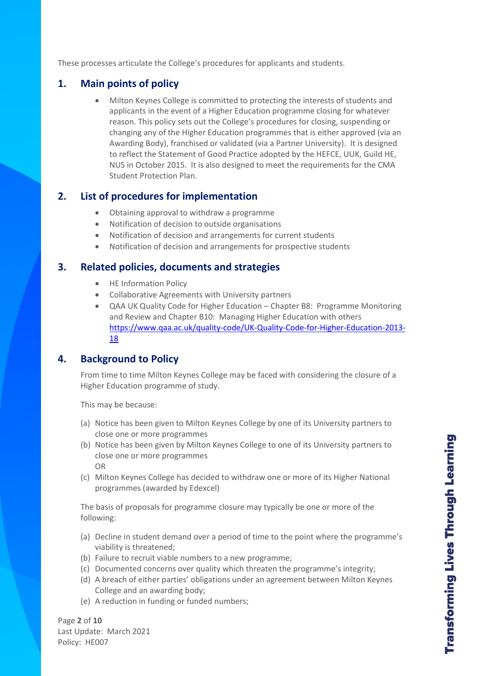These processes articulate the College's procedures for applicants and students.

### **1. Main points of policy**

• Milton Keynes College is committed to protecting the interests of students and applicants in the event of a Higher Education programme closing for whatever reason. This policy sets out the College's procedures for closing, suspending or changing any of the Higher Education programmes that is either approved (via an Awarding Body), franchised or validated (via a Partner University). It is designed to reflect the Statement of Good Practice adopted by the HEFCE, UUK, Guild HE, NUS in October 2015. It is also designed to meet the requirements for the CMA Student Protection Plan.

### **2. List of procedures for implementation**

- Obtaining approval to withdraw a programme
- Notification of decision to outside organisations
- Notification of decision and arrangements for current students
- Notification of decision and arrangements for prospective students

#### **3. Related policies, documents and strategies**

- HE Information Policy
- Collaborative Agreements with University partners
- QAA UK Quality Code for Higher Education Chapter B8: Programme Monitoring and Review and Chapter B10: Managing Higher Education with others [https://www.qaa.ac.uk/quality-code/UK-Quality-Code-for-Higher-Education-2013-](https://www.qaa.ac.uk/quality-code/UK-Quality-Code-for-Higher-Education-2013-18) [18](https://www.qaa.ac.uk/quality-code/UK-Quality-Code-for-Higher-Education-2013-18)

### **4. Background to Policy**

From time to time Milton Keynes College may be faced with considering the closure of a Higher Education programme of study.

This may be because:

- (a) Notice has been given to Milton Keynes College by one of its University partners to close one or more programmes
- (b) Notice has been given by Milton Keynes College to one of its University partners to close one or more programmes OR
- (c) Milton Keynes College has decided to withdraw one or more of its Higher National programmes (awarded by Edexcel)

The basis of proposals for programme closure may typically be one or more of the following:

- (a) Decline in student demand over a period of time to the point where the programme's viability is threatened;
- (b) Failure to recruit viable numbers to a new programme;
- (c) Documented concerns over quality which threaten the programme's integrity;
- (d) A breach of either parties' obligations under an agreement between Milton Keynes College and an awarding body;
- (e) A reduction in funding or funded numbers;

Page **2** of **10** Last Update: March 2021 Policy: HE007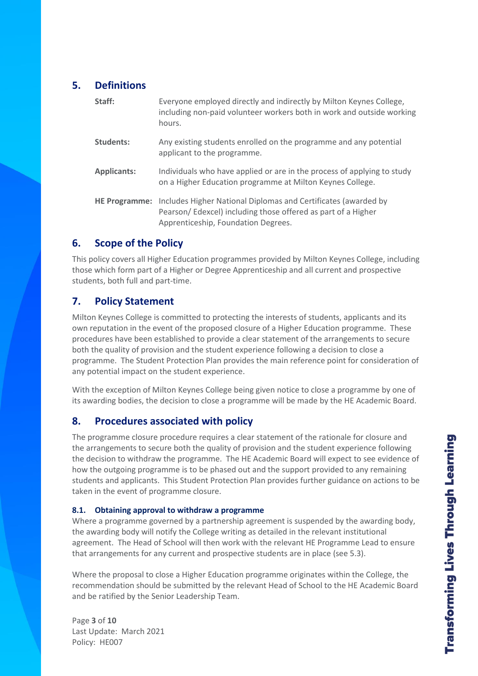# **5. Definitions**

| Staff:             | Everyone employed directly and indirectly by Milton Keynes College,<br>including non-paid volunteer workers both in work and outside working<br>hours.                              |
|--------------------|-------------------------------------------------------------------------------------------------------------------------------------------------------------------------------------|
| Students:          | Any existing students enrolled on the programme and any potential<br>applicant to the programme.                                                                                    |
| <b>Applicants:</b> | Individuals who have applied or are in the process of applying to study<br>on a Higher Education programme at Milton Keynes College.                                                |
|                    | HE Programme: Includes Higher National Diplomas and Certificates (awarded by<br>Pearson/Edexcel) including those offered as part of a Higher<br>Apprenticeship, Foundation Degrees. |

## **6. Scope of the Policy**

This policy covers all Higher Education programmes provided by Milton Keynes College, including those which form part of a Higher or Degree Apprenticeship and all current and prospective students, both full and part-time.

# **7. Policy Statement**

Milton Keynes College is committed to protecting the interests of students, applicants and its own reputation in the event of the proposed closure of a Higher Education programme. These procedures have been established to provide a clear statement of the arrangements to secure both the quality of provision and the student experience following a decision to close a programme. The Student Protection Plan provides the main reference point for consideration of any potential impact on the student experience.

With the exception of Milton Keynes College being given notice to close a programme by one of its awarding bodies, the decision to close a programme will be made by the HE Academic Board.

# **8. Procedures associated with policy**

The programme closure procedure requires a clear statement of the rationale for closure and the arrangements to secure both the quality of provision and the student experience following the decision to withdraw the programme. The HE Academic Board will expect to see evidence of how the outgoing programme is to be phased out and the support provided to any remaining students and applicants. This Student Protection Plan provides further guidance on actions to be taken in the event of programme closure.

#### **8.1. Obtaining approval to withdraw a programme**

Where a programme governed by a partnership agreement is suspended by the awarding body, the awarding body will notify the College writing as detailed in the relevant institutional agreement. The Head of School will then work with the relevant HE Programme Lead to ensure that arrangements for any current and prospective students are in place (see 5.3).

Where the proposal to close a Higher Education programme originates within the College, the recommendation should be submitted by the relevant Head of School to the HE Academic Board and be ratified by the Senior Leadership Team.

Page **3** of **10** Last Update: March 2021 Policy: HE007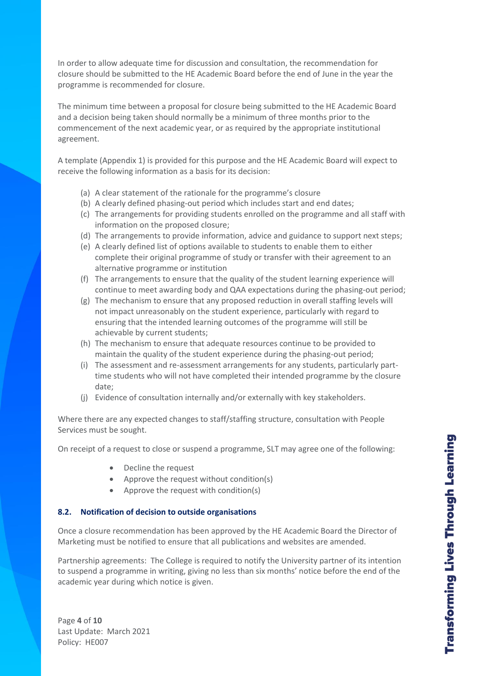In order to allow adequate time for discussion and consultation, the recommendation for closure should be submitted to the HE Academic Board before the end of June in the year the programme is recommended for closure.

The minimum time between a proposal for closure being submitted to the HE Academic Board and a decision being taken should normally be a minimum of three months prior to the commencement of the next academic year, or as required by the appropriate institutional agreement.

A template (Appendix 1) is provided for this purpose and the HE Academic Board will expect to receive the following information as a basis for its decision:

- (a) A clear statement of the rationale for the programme's closure
- (b) A clearly defined phasing-out period which includes start and end dates;
- (c) The arrangements for providing students enrolled on the programme and all staff with information on the proposed closure;
- (d) The arrangements to provide information, advice and guidance to support next steps;
- (e) A clearly defined list of options available to students to enable them to either complete their original programme of study or transfer with their agreement to an alternative programme or institution
- (f) The arrangements to ensure that the quality of the student learning experience will continue to meet awarding body and QAA expectations during the phasing-out period;
- (g) The mechanism to ensure that any proposed reduction in overall staffing levels will not impact unreasonably on the student experience, particularly with regard to ensuring that the intended learning outcomes of the programme will still be achievable by current students;
- (h) The mechanism to ensure that adequate resources continue to be provided to maintain the quality of the student experience during the phasing-out period;
- (i) The assessment and re-assessment arrangements for any students, particularly parttime students who will not have completed their intended programme by the closure date;
- (j) Evidence of consultation internally and/or externally with key stakeholders.

Where there are any expected changes to staff/staffing structure, consultation with People Services must be sought.

On receipt of a request to close or suspend a programme, SLT may agree one of the following:

- Decline the request
- Approve the request without condition(s)
- Approve the request with condition(s)

#### **8.2. Notification of decision to outside organisations**

Once a closure recommendation has been approved by the HE Academic Board the Director of Marketing must be notified to ensure that all publications and websites are amended.

Partnership agreements: The College is required to notify the University partner of its intention to suspend a programme in writing, giving no less than six months' notice before the end of the academic year during which notice is given.

Page **4** of **10** Last Update: March 2021 Policy: HE007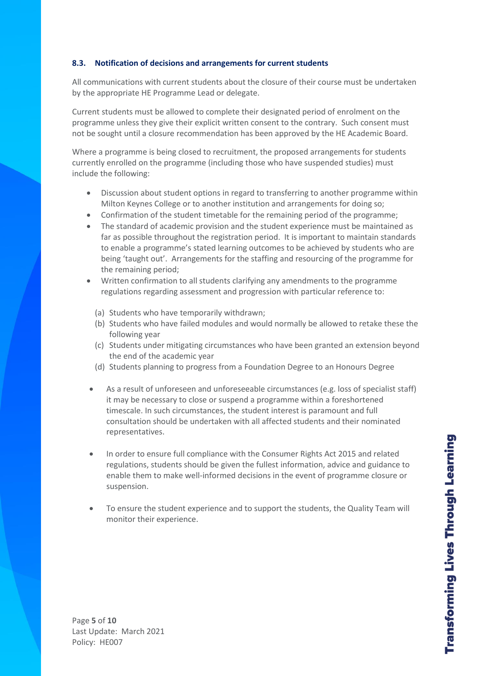#### **8.3. Notification of decisions and arrangements for current students**

All communications with current students about the closure of their course must be undertaken by the appropriate HE Programme Lead or delegate.

Current students must be allowed to complete their designated period of enrolment on the programme unless they give their explicit written consent to the contrary. Such consent must not be sought until a closure recommendation has been approved by the HE Academic Board.

Where a programme is being closed to recruitment, the proposed arrangements for students currently enrolled on the programme (including those who have suspended studies) must include the following:

- Discussion about student options in regard to transferring to another programme within Milton Keynes College or to another institution and arrangements for doing so;
- Confirmation of the student timetable for the remaining period of the programme;
- The standard of academic provision and the student experience must be maintained as far as possible throughout the registration period. It is important to maintain standards to enable a programme's stated learning outcomes to be achieved by students who are being 'taught out'. Arrangements for the staffing and resourcing of the programme for the remaining period;
- Written confirmation to all students clarifying any amendments to the programme regulations regarding assessment and progression with particular reference to:
	- (a) Students who have temporarily withdrawn;
	- (b) Students who have failed modules and would normally be allowed to retake these the following year
	- (c) Students under mitigating circumstances who have been granted an extension beyond the end of the academic year
	- (d) Students planning to progress from a Foundation Degree to an Honours Degree
- As a result of unforeseen and unforeseeable circumstances (e.g. loss of specialist staff) it may be necessary to close or suspend a programme within a foreshortened timescale. In such circumstances, the student interest is paramount and full consultation should be undertaken with all affected students and their nominated representatives.
- In order to ensure full compliance with the Consumer Rights Act 2015 and related regulations, students should be given the fullest information, advice and guidance to enable them to make well-informed decisions in the event of programme closure or suspension.
- To ensure the student experience and to support the students, the Quality Team will monitor their experience.

Page **5** of **10** Last Update: March 2021 Policy: HE007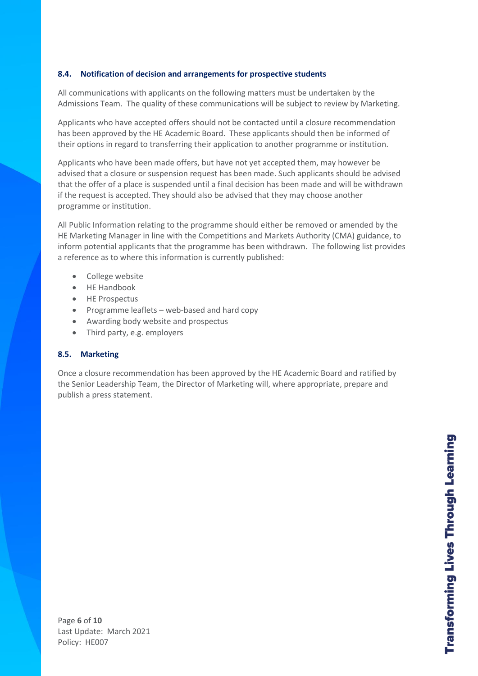#### **8.4. Notification of decision and arrangements for prospective students**

All communications with applicants on the following matters must be undertaken by the Admissions Team. The quality of these communications will be subject to review by Marketing.

Applicants who have accepted offers should not be contacted until a closure recommendation has been approved by the HE Academic Board. These applicants should then be informed of their options in regard to transferring their application to another programme or institution.

Applicants who have been made offers, but have not yet accepted them, may however be advised that a closure or suspension request has been made. Such applicants should be advised that the offer of a place is suspended until a final decision has been made and will be withdrawn if the request is accepted. They should also be advised that they may choose another programme or institution.

All Public Information relating to the programme should either be removed or amended by the HE Marketing Manager in line with the Competitions and Markets Authority (CMA) guidance, to inform potential applicants that the programme has been withdrawn. The following list provides a reference as to where this information is currently published:

- College website
- HE Handbook
- HE Prospectus
- Programme leaflets web-based and hard copy
- Awarding body website and prospectus
- Third party, e.g. employers

#### **8.5. Marketing**

Once a closure recommendation has been approved by the HE Academic Board and ratified by the Senior Leadership Team, the Director of Marketing will, where appropriate, prepare and publish a press statement.

Page **6** of **10** Last Update: March 2021 Policy: HE007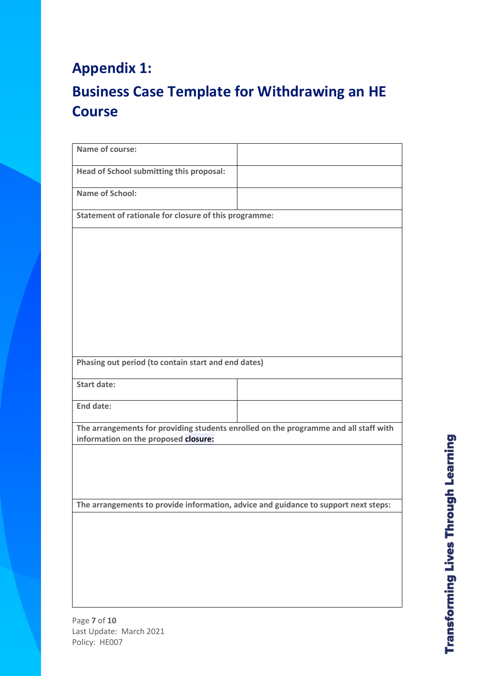# **Appendix 1:**

Page **7** of **10**

Policy: HE007

Last Update: March 2021

# **Business Case Template for Withdrawing an HE Course**

| Name of course:                                                                                                              |  |  |
|------------------------------------------------------------------------------------------------------------------------------|--|--|
| Head of School submitting this proposal:                                                                                     |  |  |
| <b>Name of School:</b>                                                                                                       |  |  |
| Statement of rationale for closure of this programme:                                                                        |  |  |
|                                                                                                                              |  |  |
|                                                                                                                              |  |  |
|                                                                                                                              |  |  |
|                                                                                                                              |  |  |
|                                                                                                                              |  |  |
|                                                                                                                              |  |  |
| Phasing out period (to contain start and end dates)                                                                          |  |  |
| <b>Start date:</b>                                                                                                           |  |  |
| <b>End date:</b>                                                                                                             |  |  |
| The arrangements for providing students enrolled on the programme and all staff with<br>information on the proposed closure: |  |  |
|                                                                                                                              |  |  |
|                                                                                                                              |  |  |
| The arrangements to provide information, advice and guidance to support next steps:                                          |  |  |
|                                                                                                                              |  |  |
|                                                                                                                              |  |  |
|                                                                                                                              |  |  |
|                                                                                                                              |  |  |
|                                                                                                                              |  |  |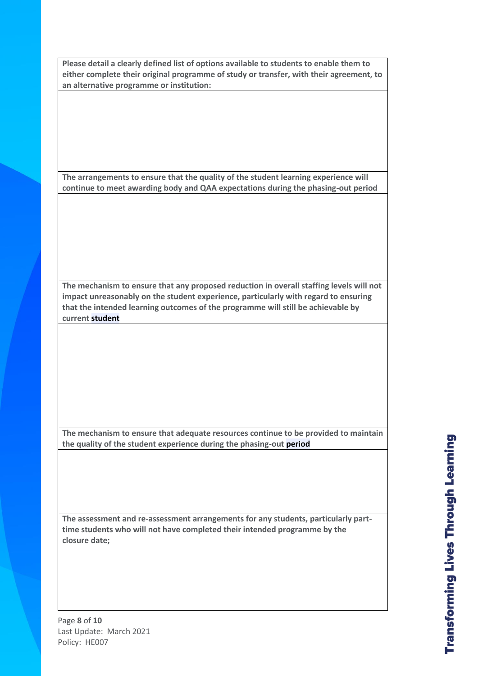**Please detail a clearly defined list of options available to students to enable them to either complete their original programme of study or transfer, with their agreement, to an alternative programme or institution:**

**The arrangements to ensure that the quality of the student learning experience will continue to meet awarding body and QAA expectations during the phasing-out period**

**The mechanism to ensure that any proposed reduction in overall staffing levels will not impact unreasonably on the student experience, particularly with regard to ensuring that the intended learning outcomes of the programme will still be achievable by current student**

**The mechanism to ensure that adequate resources continue to be provided to maintain the quality of the student experience during the phasing-out period**

**The assessment and re-assessment arrangements for any students, particularly parttime students who will not have completed their intended programme by the closure date;**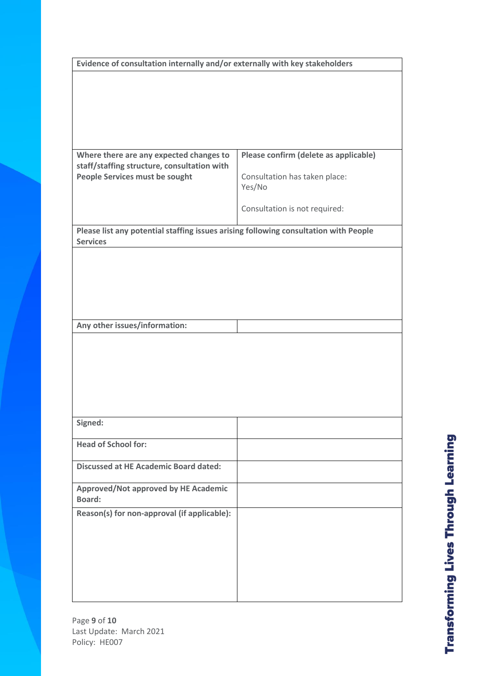| Evidence of consultation internally and/or externally with key stakeholders                             |                                       |  |
|---------------------------------------------------------------------------------------------------------|---------------------------------------|--|
|                                                                                                         |                                       |  |
|                                                                                                         |                                       |  |
|                                                                                                         |                                       |  |
|                                                                                                         |                                       |  |
|                                                                                                         |                                       |  |
| Where there are any expected changes to                                                                 | Please confirm (delete as applicable) |  |
| staff/staffing structure, consultation with                                                             |                                       |  |
| People Services must be sought                                                                          | Consultation has taken place:         |  |
|                                                                                                         | Yes/No                                |  |
|                                                                                                         | Consultation is not required:         |  |
|                                                                                                         |                                       |  |
| Please list any potential staffing issues arising following consultation with People<br><b>Services</b> |                                       |  |
|                                                                                                         |                                       |  |
|                                                                                                         |                                       |  |
|                                                                                                         |                                       |  |
|                                                                                                         |                                       |  |
|                                                                                                         |                                       |  |
| Any other issues/information:                                                                           |                                       |  |
|                                                                                                         |                                       |  |
|                                                                                                         |                                       |  |
|                                                                                                         |                                       |  |
|                                                                                                         |                                       |  |
|                                                                                                         |                                       |  |
|                                                                                                         |                                       |  |
| Signed:                                                                                                 |                                       |  |
| <b>Head of School for:</b>                                                                              |                                       |  |
|                                                                                                         |                                       |  |
| <b>Discussed at HE Academic Board dated:</b>                                                            |                                       |  |
| Approved/Not approved by HE Academic                                                                    |                                       |  |
| <b>Board:</b>                                                                                           |                                       |  |
| Reason(s) for non-approval (if applicable):                                                             |                                       |  |
|                                                                                                         |                                       |  |
|                                                                                                         |                                       |  |
|                                                                                                         |                                       |  |
|                                                                                                         |                                       |  |
|                                                                                                         |                                       |  |
|                                                                                                         |                                       |  |